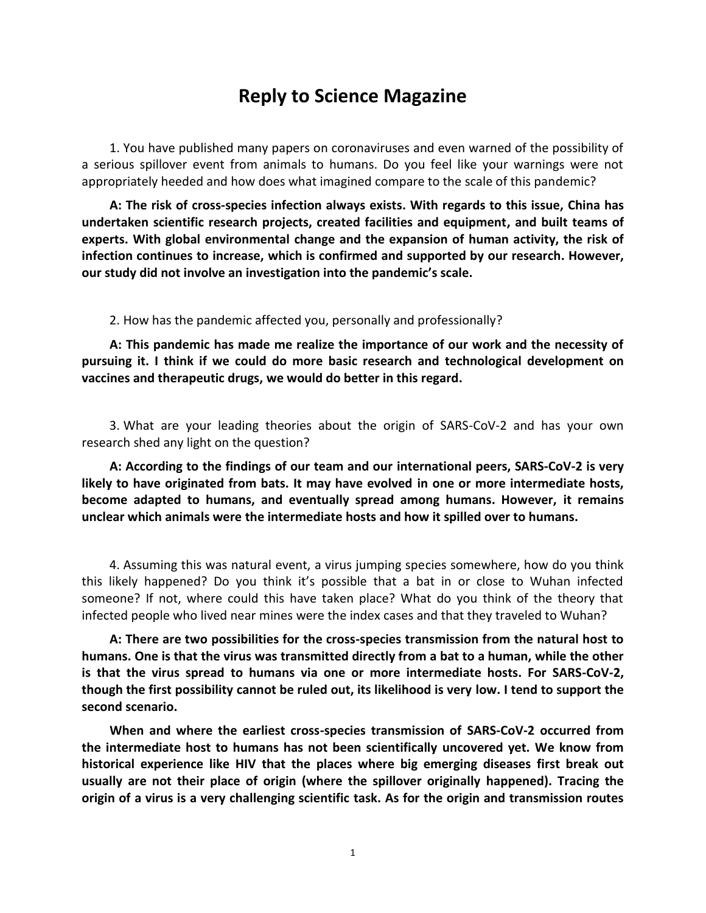# **Reply to Science Magazine**

1. You have published many papers on coronaviruses and even warned of the possibility of a serious spillover event from animals to humans. Do you feel like your warnings were not appropriately heeded and how does what imagined compare to the scale of this pandemic?

**A: The risk of cross-species infection always exists. With regards to this issue, China has undertaken scientific research projects, created facilities and equipment, and built teams of experts. With global environmental change and the expansion of human activity, the risk of infection continues to increase, which is confirmed and supported by our research. However, our study did not involve an investigation into the pandemic's scale.**

2. How has the pandemic affected you, personally and professionally?

**A: This pandemic has made me realize the importance of our work and the necessity of pursuing it. I think if we could do more basic research and technological development on vaccines and therapeutic drugs, we would do better in this regard.**

3. What are your leading theories about the origin of SARS-CoV-2 and has your own research shed any light on the question?

**A: According to the findings of our team and our international peers, SARS-CoV-2 is very likely to have originated from bats. It may have evolved in one or more intermediate hosts, become adapted to humans, and eventually spread among humans. However, it remains unclear which animals were the intermediate hosts and how it spilled over to humans.**

4. Assuming this was natural event, a virus jumping species somewhere, how do you think this likely happened? Do you think it's possible that a bat in or close to Wuhan infected someone? If not, where could this have taken place? What do you think of the theory that infected people who lived near mines were the index cases and that they traveled to Wuhan?

**A: There are two possibilities for the cross-species transmission from the natural host to humans. One is that the virus was transmitted directly from a bat to a human, while the other is that the virus spread to humans via one or more intermediate hosts. For SARS-CoV-2, though the first possibility cannot be ruled out, its likelihood is very low. I tend to support the second scenario.**

**When and where the earliest cross-species transmission of SARS-CoV-2 occurred from the intermediate host to humans has not been scientifically uncovered yet. We know from historical experience like HIV that the places where big emerging diseases first break out usually are not their place of origin (where the spillover originally happened). Tracing the origin of a virus is a very challenging scientific task. As for the origin and transmission routes**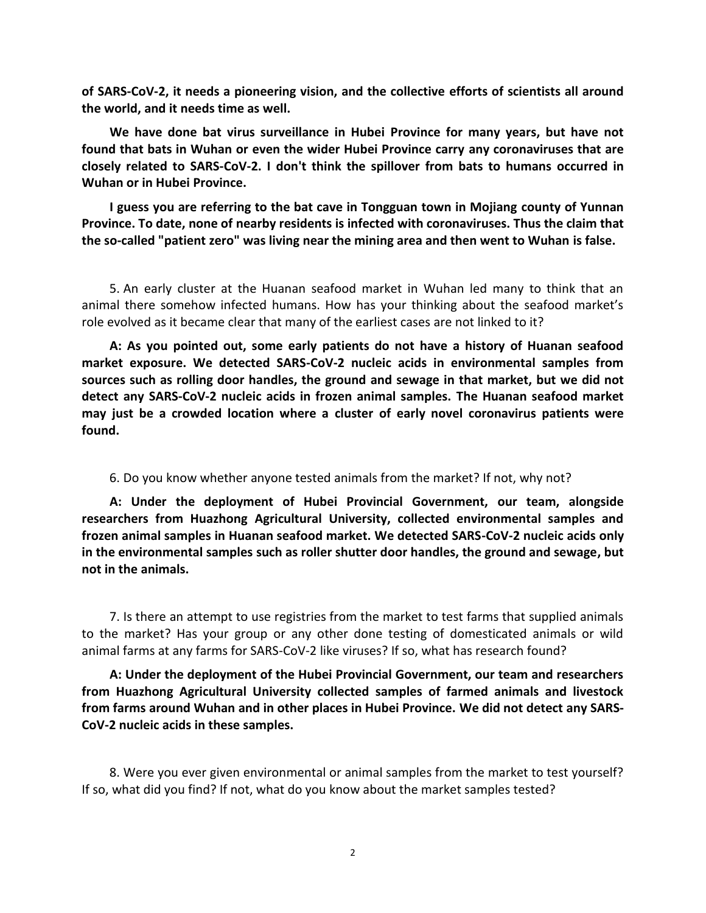**of SARS-CoV-2, it needs a pioneering vision, and the collective efforts of scientists all around the world, and it needs time as well.** 

**We have done bat virus surveillance in Hubei Province for many years, but have not found that bats in Wuhan or even the wider Hubei Province carry any coronaviruses that are closely related to SARS-CoV-2. I don't think the spillover from bats to humans occurred in Wuhan or in Hubei Province.** 

**I guess you are referring to the bat cave in Tongguan town in Mojiang county of Yunnan Province. To date, none of nearby residents is infected with coronaviruses. Thus the claim that the so-called "patient zero" was living near the mining area and then went to Wuhan is false.** 

5. An early cluster at the Huanan seafood market in Wuhan led many to think that an animal there somehow infected humans. How has your thinking about the seafood market's role evolved as it became clear that many of the earliest cases are not linked to it?

**A: As you pointed out, some early patients do not have a history of Huanan seafood market exposure. We detected SARS-CoV-2 nucleic acids in environmental samples from sources such as rolling door handles, the ground and sewage in that market, but we did not detect any SARS-CoV-2 nucleic acids in frozen animal samples. The Huanan seafood market may just be a crowded location where a cluster of early novel coronavirus patients were found.** 

6. Do you know whether anyone tested animals from the market? If not, why not?

**A: Under the deployment of Hubei Provincial Government, our team, alongside researchers from Huazhong Agricultural University, collected environmental samples and frozen animal samples in Huanan seafood market. We detected SARS-CoV-2 nucleic acids only in the environmental samples such as roller shutter door handles, the ground and sewage, but not in the animals.** 

7. Is there an attempt to use registries from the market to test farms that supplied animals to the market? Has your group or any other done testing of domesticated animals or wild animal farms at any farms for SARS-CoV-2 like viruses? If so, what has research found?

**A: Under the deployment of the Hubei Provincial Government, our team and researchers from Huazhong Agricultural University collected samples of farmed animals and livestock from farms around Wuhan and in other places in Hubei Province. We did not detect any SARS-CoV-2 nucleic acids in these samples.** 

8. Were you ever given environmental or animal samples from the market to test yourself? If so, what did you find? If not, what do you know about the market samples tested?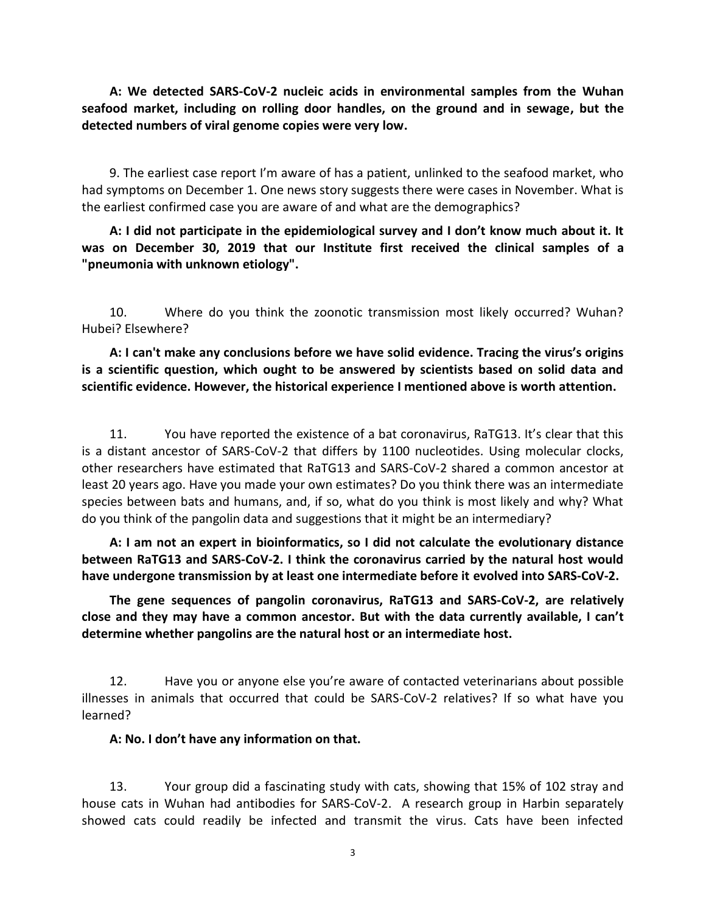**A: We detected SARS-CoV-2 nucleic acids in environmental samples from the Wuhan seafood market, including on rolling door handles, on the ground and in sewage, but the detected numbers of viral genome copies were very low.**

9. The earliest case report I'm aware of has a patient, unlinked to the seafood market, who had symptoms on December 1. One news story suggests there were cases in November. What is the earliest confirmed case you are aware of and what are the demographics?

## **A: I did not participate in the epidemiological survey and I don't know much about it. It was on December 30, 2019 that our Institute first received the clinical samples of a "pneumonia with unknown etiology".**

10. Where do you think the zoonotic transmission most likely occurred? Wuhan? Hubei? Elsewhere?

**A: I can't make any conclusions before we have solid evidence. Tracing the virus's origins is a scientific question, which ought to be answered by scientists based on solid data and scientific evidence. However, the historical experience I mentioned above is worth attention.**

11. You have reported the existence of a bat coronavirus, RaTG13. It's clear that this is a distant ancestor of SARS-CoV-2 that differs by 1100 nucleotides. Using molecular clocks, other researchers have estimated that RaTG13 and SARS-CoV-2 shared a common ancestor at least 20 years ago. Have you made your own estimates? Do you think there was an intermediate species between bats and humans, and, if so, what do you think is most likely and why? What do you think of the pangolin data and suggestions that it might be an intermediary?

**A: I am not an expert in bioinformatics, so I did not calculate the evolutionary distance between RaTG13 and SARS-CoV-2. I think the coronavirus carried by the natural host would have undergone transmission by at least one intermediate before it evolved into SARS-CoV-2.**

**The gene sequences of pangolin coronavirus, RaTG13 and SARS-CoV-2, are relatively close and they may have a common ancestor. But with the data currently available, I can't determine whether pangolins are the natural host or an intermediate host.**

12. Have you or anyone else you're aware of contacted veterinarians about possible illnesses in animals that occurred that could be SARS-CoV-2 relatives? If so what have you learned?

### **A: No. I don't have any information on that.**

13. Your group did a fascinating study with cats, showing that 15% of 102 stray and house cats in Wuhan had antibodies for SARS-CoV-2. A research group in Harbin separately showed cats could readily be infected and transmit the virus. Cats have been infected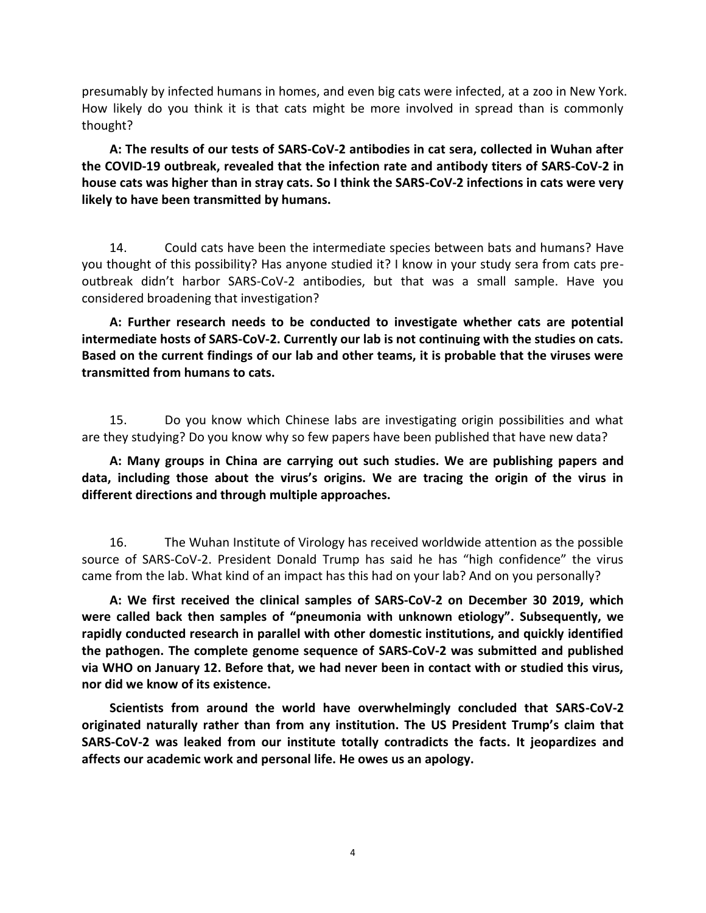presumably by infected humans in homes, and even big cats were infected, at a zoo in New York. How likely do you think it is that cats might be more involved in spread than is commonly thought?

**A: The results of our tests of SARS-CoV-2 antibodies in cat sera, collected in Wuhan after the COVID-19 outbreak, revealed that the infection rate and antibody titers of SARS-CoV-2 in house cats was higher than in stray cats. So I think the SARS-CoV-2 infections in cats were very likely to have been transmitted by humans.**

14. Could cats have been the intermediate species between bats and humans? Have you thought of this possibility? Has anyone studied it? I know in your study sera from cats preoutbreak didn't harbor SARS-CoV-2 antibodies, but that was a small sample. Have you considered broadening that investigation?

**A: Further research needs to be conducted to investigate whether cats are potential intermediate hosts of SARS-CoV-2. Currently our lab is not continuing with the studies on cats. Based on the current findings of our lab and other teams, it is probable that the viruses were transmitted from humans to cats.**

15. Do you know which Chinese labs are investigating origin possibilities and what are they studying? Do you know why so few papers have been published that have new data?

**A: Many groups in China are carrying out such studies. We are publishing papers and data, including those about the virus's origins. We are tracing the origin of the virus in different directions and through multiple approaches.**

16. The Wuhan Institute of Virology has received worldwide attention as the possible source of SARS-CoV-2. President Donald Trump has said he has "high confidence" the virus came from the lab. What kind of an impact has this had on your lab? And on you personally?

**A: We first received the clinical samples of SARS-CoV-2 on December 30 2019, which were called back then samples of "pneumonia with unknown etiology". Subsequently, we rapidly conducted research in parallel with other domestic institutions, and quickly identified the pathogen. The complete genome sequence of SARS-CoV-2 was submitted and published via WHO on January 12. Before that, we had never been in contact with or studied this virus, nor did we know of its existence.**

**Scientists from around the world have overwhelmingly concluded that SARS-CoV-2 originated naturally rather than from any institution. The US President Trump's claim that SARS-CoV-2 was leaked from our institute totally contradicts the facts. It jeopardizes and affects our academic work and personal life. He owes us an apology.**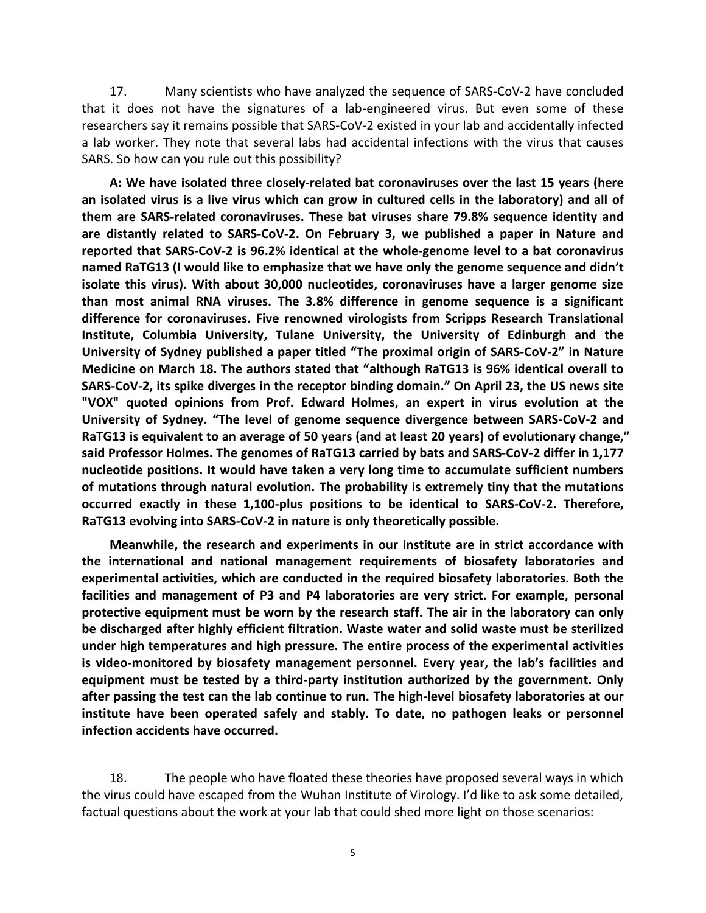17. Many scientists who have analyzed the sequence of SARS-CoV-2 have concluded that it does not have the signatures of a lab-engineered virus. But even some of these researchers say it remains possible that SARS-CoV-2 existed in your lab and accidentally infected a lab worker. They note that several labs had accidental infections with the virus that causes SARS. So how can you rule out this possibility?

**A: We have isolated three closely-related bat coronaviruses over the last 15 years (here an isolated virus is a live virus which can grow in cultured cells in the laboratory) and all of them are SARS-related coronaviruses. These bat viruses share 79.8% sequence identity and are distantly related to SARS-CoV-2. On February 3, we published a paper in Nature and reported that SARS-CoV-2 is 96.2% identical at the whole-genome level to a bat coronavirus named RaTG13 (I would like to emphasize that we have only the genome sequence and didn't isolate this virus). With about 30,000 nucleotides, coronaviruses have a larger genome size than most animal RNA viruses. The 3.8% difference in genome sequence is a significant difference for coronaviruses. Five renowned virologists from Scripps Research Translational Institute, Columbia University, Tulane University, the University of Edinburgh and the University of Sydney published a paper titled "The proximal origin of SARS-CoV-2" in Nature Medicine on March 18. The authors stated that "although RaTG13 is 96% identical overall to SARS-CoV-2, its spike diverges in the receptor binding domain." On April 23, the US news site "VOX" quoted opinions from Prof. Edward Holmes, an expert in virus evolution at the University of Sydney. "The level of genome sequence divergence between SARS-CoV-2 and RaTG13 is equivalent to an average of 50 years (and at least 20 years) of evolutionary change," said Professor Holmes. The genomes of RaTG13 carried by bats and SARS-CoV-2 differ in 1,177 nucleotide positions. It would have taken a very long time to accumulate sufficient numbers of mutations through natural evolution. The probability is extremely tiny that the mutations occurred exactly in these 1,100-plus positions to be identical to SARS-CoV-2. Therefore, RaTG13 evolving into SARS-CoV-2 in nature is only theoretically possible.**

**Meanwhile, the research and experiments in our institute are in strict accordance with the international and national management requirements of biosafety laboratories and experimental activities, which are conducted in the required biosafety laboratories. Both the facilities and management of P3 and P4 laboratories are very strict. For example, personal protective equipment must be worn by the research staff. The air in the laboratory can only be discharged after highly efficient filtration. Waste water and solid waste must be sterilized under high temperatures and high pressure. The entire process of the experimental activities is video-monitored by biosafety management personnel. Every year, the lab's facilities and equipment must be tested by a third-party institution authorized by the government. Only after passing the test can the lab continue to run. The high-level biosafety laboratories at our institute have been operated safely and stably. To date, no pathogen leaks or personnel infection accidents have occurred.**

18. The people who have floated these theories have proposed several ways in which the virus could have escaped from the Wuhan Institute of Virology. I'd like to ask some detailed, factual questions about the work at your lab that could shed more light on those scenarios: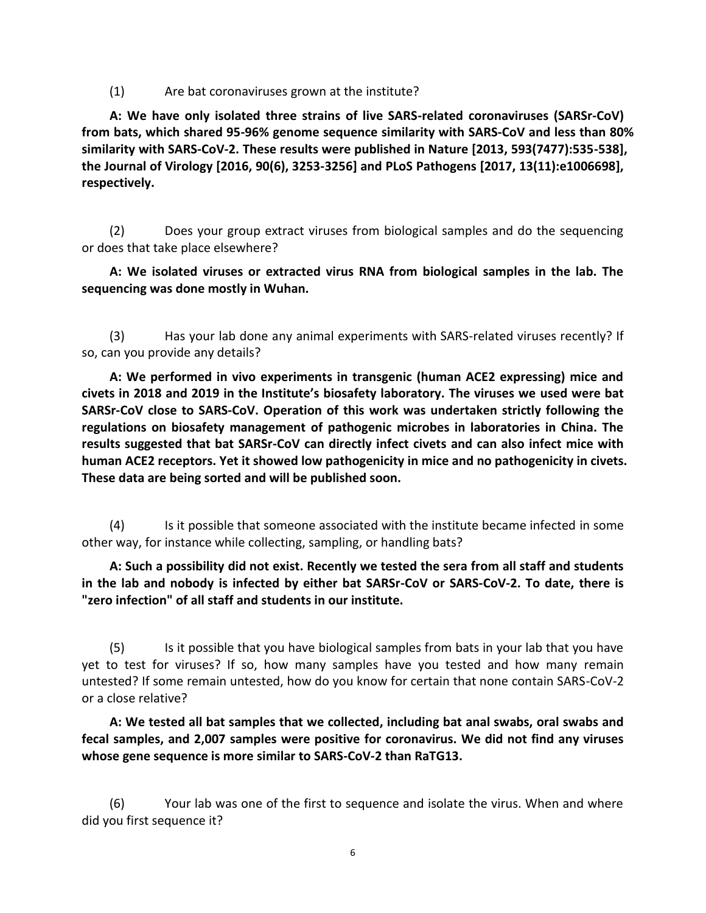(1) Are bat coronaviruses grown at the institute?

**A: We have only isolated three strains of live SARS-related coronaviruses (SARSr-CoV) from bats, which shared 95-96% genome sequence similarity with SARS-CoV and less than 80% similarity with SARS-CoV-2. These results were published in Nature [2013, 593(7477):535-538], the Journal of Virology [2016, 90(6), 3253-3256] and PLoS Pathogens [2017, 13(11):e1006698], respectively.**

(2) Does your group extract viruses from biological samples and do the sequencing or does that take place elsewhere?

**A: We isolated viruses or extracted virus RNA from biological samples in the lab. The sequencing was done mostly in Wuhan.**

(3) Has your lab done any animal experiments with SARS-related viruses recently? If so, can you provide any details?

**A: We performed in vivo experiments in transgenic (human ACE2 expressing) mice and civets in 2018 and 2019 in the Institute's biosafety laboratory. The viruses we used were bat SARSr-CoV close to SARS-CoV. Operation of this work was undertaken strictly following the regulations on biosafety management of pathogenic microbes in laboratories in China. The results suggested that bat SARSr-CoV can directly infect civets and can also infect mice with human ACE2 receptors. Yet it showed low pathogenicity in mice and no pathogenicity in civets. These data are being sorted and will be published soon.**

(4) Is it possible that someone associated with the institute became infected in some other way, for instance while collecting, sampling, or handling bats?

**A: Such a possibility did not exist. Recently we tested the sera from all staff and students in the lab and nobody is infected by either bat SARSr-CoV or SARS-CoV-2. To date, there is "zero infection" of all staff and students in our institute.**

(5) Is it possible that you have biological samples from bats in your lab that you have yet to test for viruses? If so, how many samples have you tested and how many remain untested? If some remain untested, how do you know for certain that none contain SARS-CoV-2 or a close relative?

**A: We tested all bat samples that we collected, including bat anal swabs, oral swabs and fecal samples, and 2,007 samples were positive for coronavirus. We did not find any viruses whose gene sequence is more similar to SARS-CoV-2 than RaTG13.** 

(6) Your lab was one of the first to sequence and isolate the virus. When and where did you first sequence it?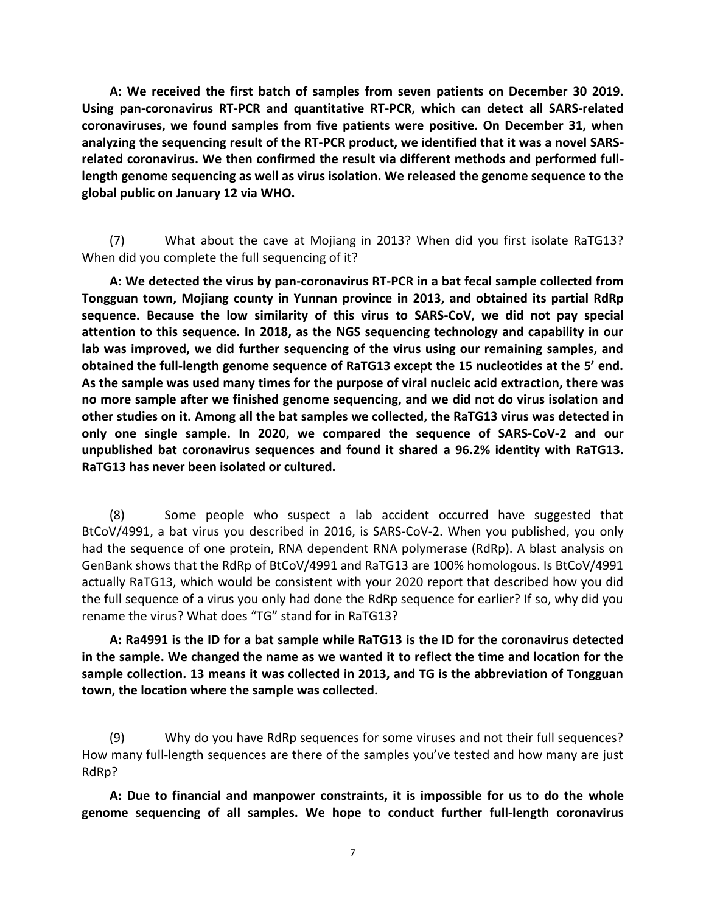**A: We received the first batch of samples from seven patients on December 30 2019. Using pan-coronavirus RT-PCR and quantitative RT-PCR, which can detect all SARS-related coronaviruses, we found samples from five patients were positive. On December 31, when analyzing the sequencing result of the RT-PCR product, we identified that it was a novel SARSrelated coronavirus. We then confirmed the result via different methods and performed fulllength genome sequencing as well as virus isolation. We released the genome sequence to the global public on January 12 via WHO.**

(7) What about the cave at Mojiang in 2013? When did you first isolate RaTG13? When did you complete the full sequencing of it?

**A: We detected the virus by pan-coronavirus RT-PCR in a bat fecal sample collected from Tongguan town, Mojiang county in Yunnan province in 2013, and obtained its partial RdRp sequence. Because the low similarity of this virus to SARS-CoV, we did not pay special attention to this sequence. In 2018, as the NGS sequencing technology and capability in our lab was improved, we did further sequencing of the virus using our remaining samples, and obtained the full-length genome sequence of RaTG13 except the 15 nucleotides at the 5' end. As the sample was used many times for the purpose of viral nucleic acid extraction, there was no more sample after we finished genome sequencing, and we did not do virus isolation and other studies on it. Among all the bat samples we collected, the RaTG13 virus was detected in only one single sample. In 2020, we compared the sequence of SARS-CoV-2 and our unpublished bat coronavirus sequences and found it shared a 96.2% identity with RaTG13. RaTG13 has never been isolated or cultured.** 

(8) Some people who suspect a lab accident occurred have suggested that BtCoV/4991, a bat virus you described in 2016, is SARS-CoV-2. When you published, you only had the sequence of one protein, RNA dependent RNA polymerase (RdRp). A blast analysis on GenBank shows that the RdRp of BtCoV/4991 and RaTG13 are 100% homologous. Is BtCoV/4991 actually RaTG13, which would be consistent with your 2020 report that described how you did the full sequence of a virus you only had done the RdRp sequence for earlier? If so, why did you rename the virus? What does "TG" stand for in RaTG13?

**A: Ra4991 is the ID for a bat sample while RaTG13 is the ID for the coronavirus detected in the sample. We changed the name as we wanted it to reflect the time and location for the sample collection. 13 means it was collected in 2013, and TG is the abbreviation of Tongguan town, the location where the sample was collected.**

(9) Why do you have RdRp sequences for some viruses and not their full sequences? How many full-length sequences are there of the samples you've tested and how many are just RdRp?

**A: Due to financial and manpower constraints, it is impossible for us to do the whole genome sequencing of all samples. We hope to conduct further full-length coronavirus**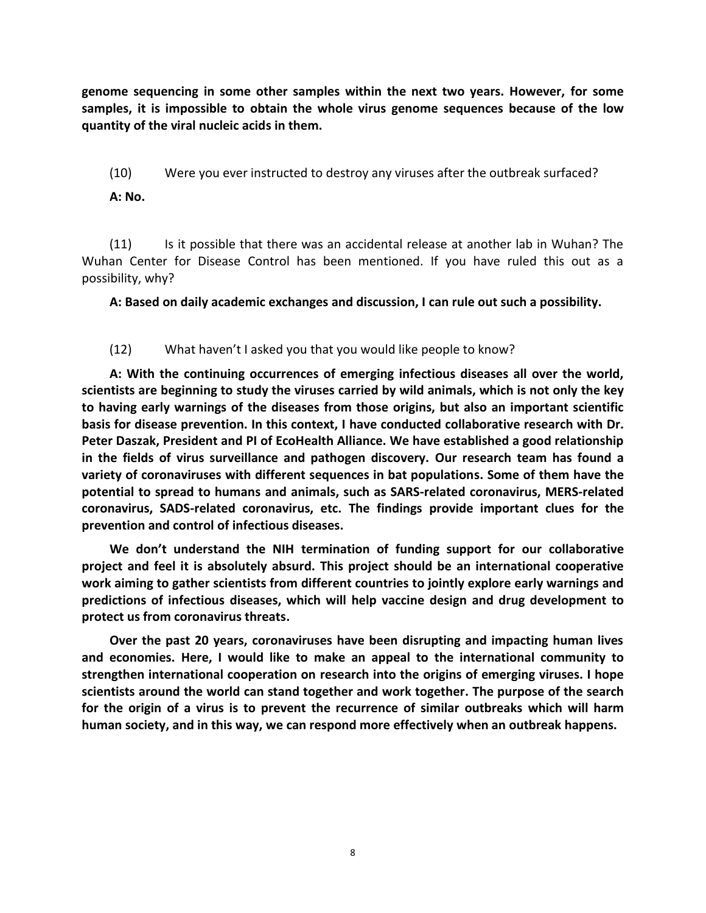**genome sequencing in some other samples within the next two years. However, for some samples, it is impossible to obtain the whole virus genome sequences because of the low quantity of the viral nucleic acids in them.**

(10) Were you ever instructed to destroy any viruses after the outbreak surfaced?

**A: No.** 

(11) Is it possible that there was an accidental release at another lab in Wuhan? The Wuhan Center for Disease Control has been mentioned. If you have ruled this out as a possibility, why?

**A: Based on daily academic exchanges and discussion, I can rule out such a possibility.**

#### (12) What haven't I asked you that you would like people to know?

**A: With the continuing occurrences of emerging infectious diseases all over the world, scientists are beginning to study the viruses carried by wild animals, which is not only the key to having early warnings of the diseases from those origins, but also an important scientific basis for disease prevention. In this context, I have conducted collaborative research with Dr. Peter Daszak, President and PI of EcoHealth Alliance. We have established a good relationship in the fields of virus surveillance and pathogen discovery. Our research team has found a variety of coronaviruses with different sequences in bat populations. Some of them have the potential to spread to humans and animals, such as SARS-related coronavirus, MERS-related coronavirus, SADS-related coronavirus, etc. The findings provide important clues for the prevention and control of infectious diseases.**

**We don't understand the NIH termination of funding support for our collaborative project and feel it is absolutely absurd. This project should be an international cooperative work aiming to gather scientists from different countries to jointly explore early warnings and predictions of infectious diseases, which will help vaccine design and drug development to protect us from coronavirus threats.**

**Over the past 20 years, coronaviruses have been disrupting and impacting human lives and economies. Here, I would like to make an appeal to the international community to strengthen international cooperation on research into the origins of emerging viruses. I hope scientists around the world can stand together and work together. The purpose of the search for the origin of a virus is to prevent the recurrence of similar outbreaks which will harm human society, and in this way, we can respond more effectively when an outbreak happens.**